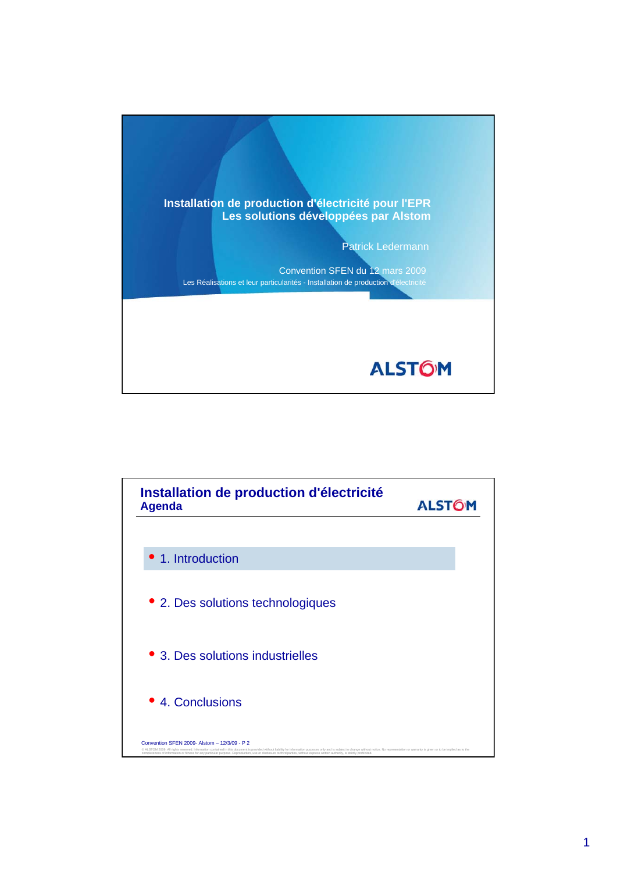

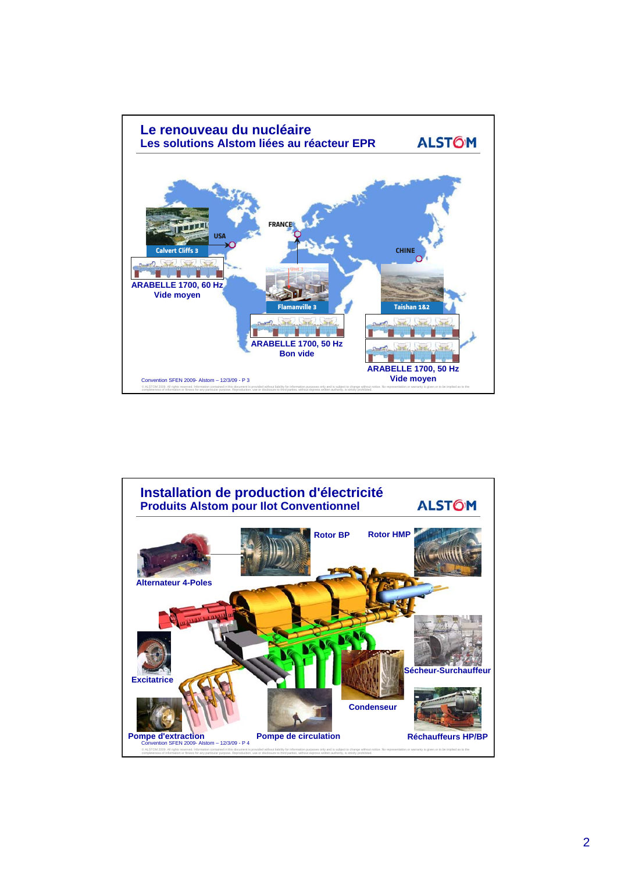

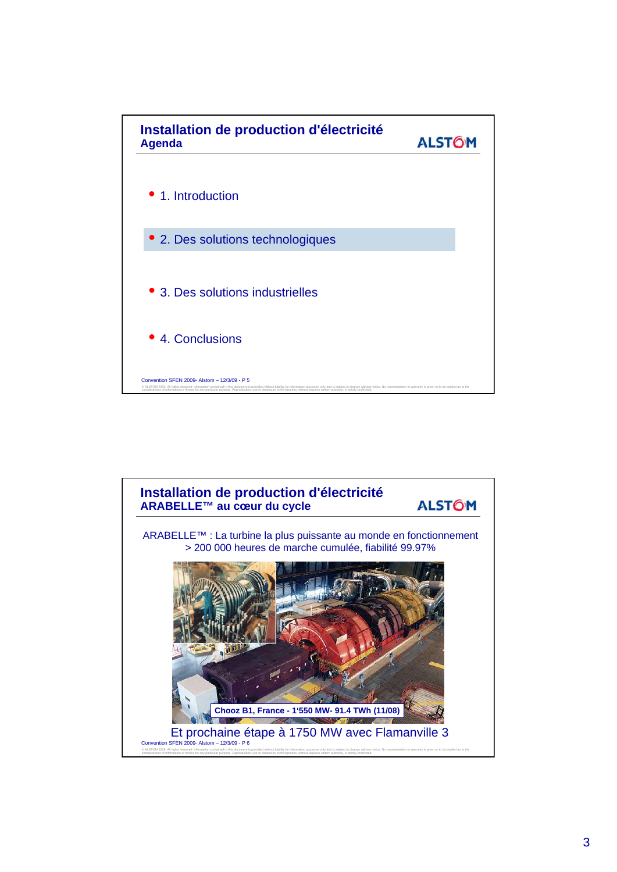

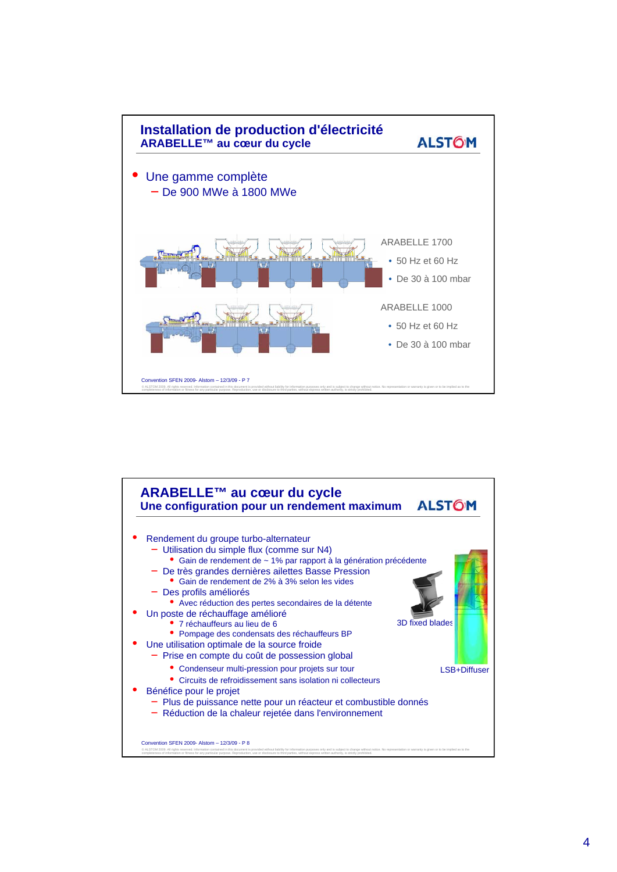

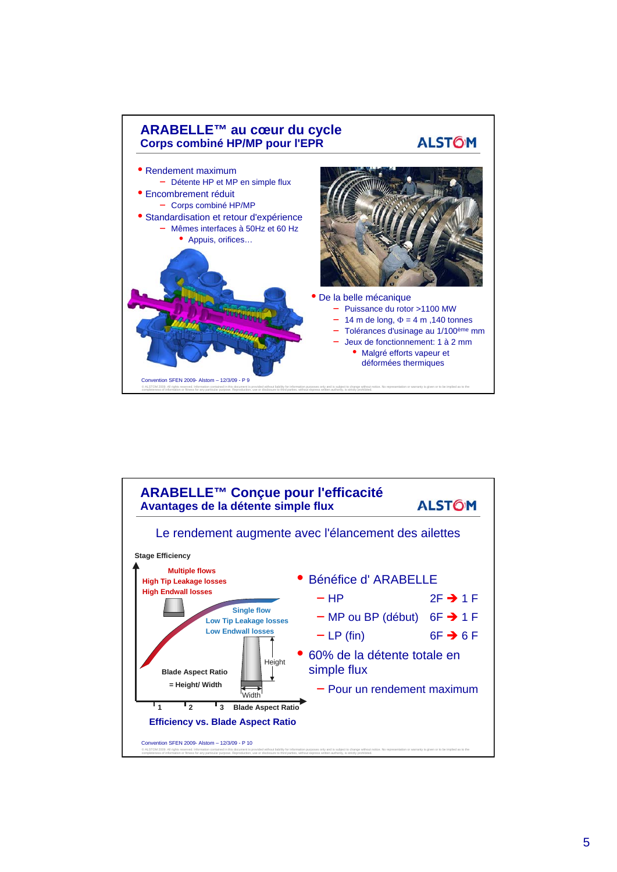

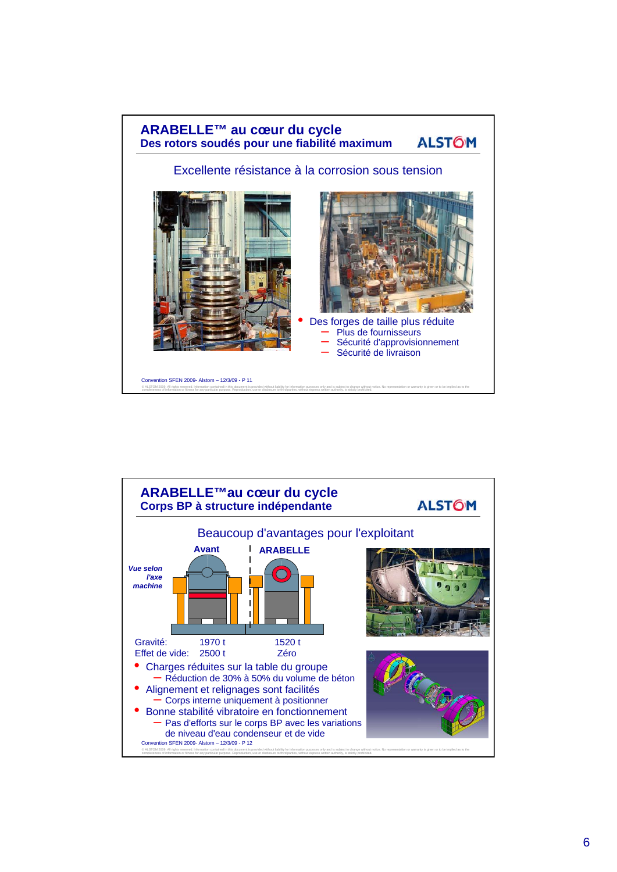

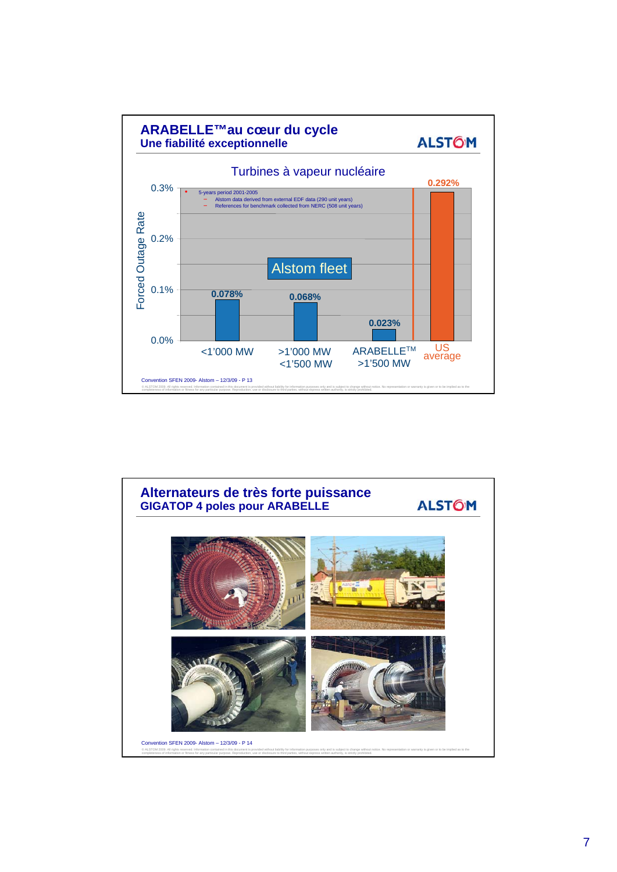

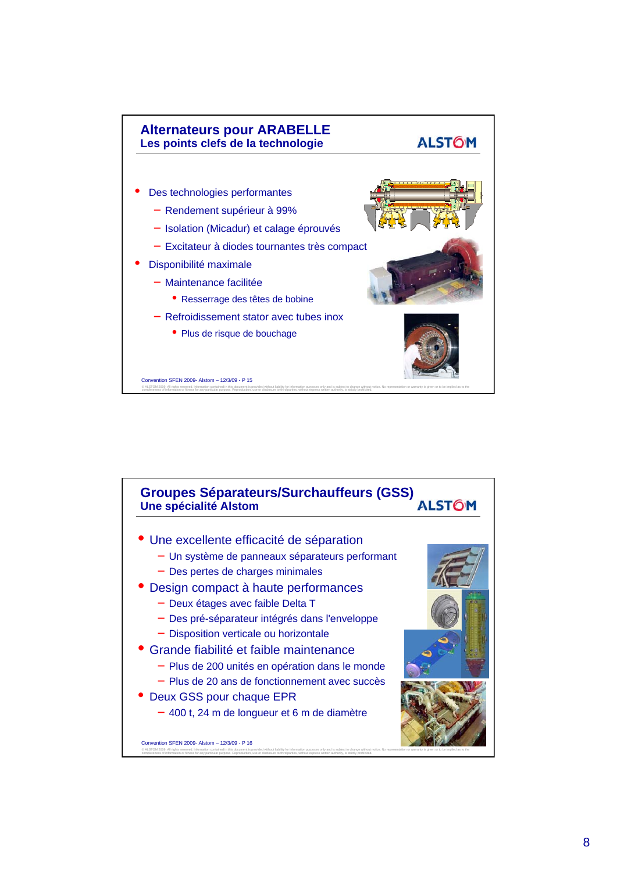

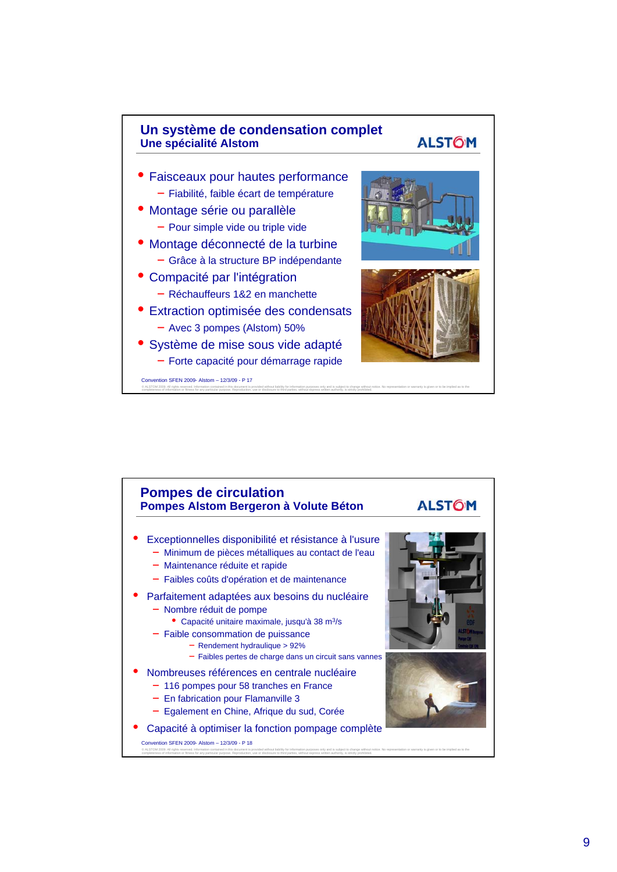

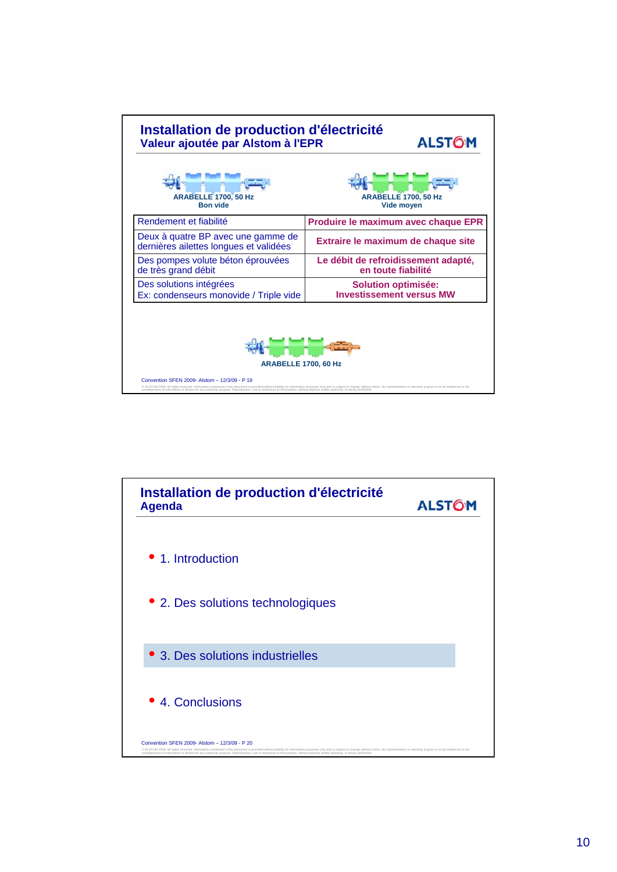

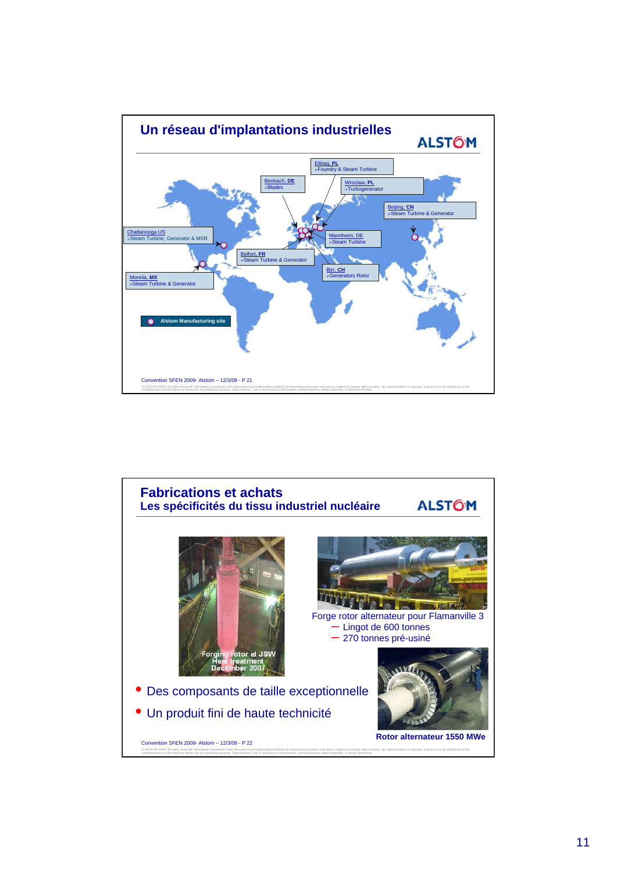

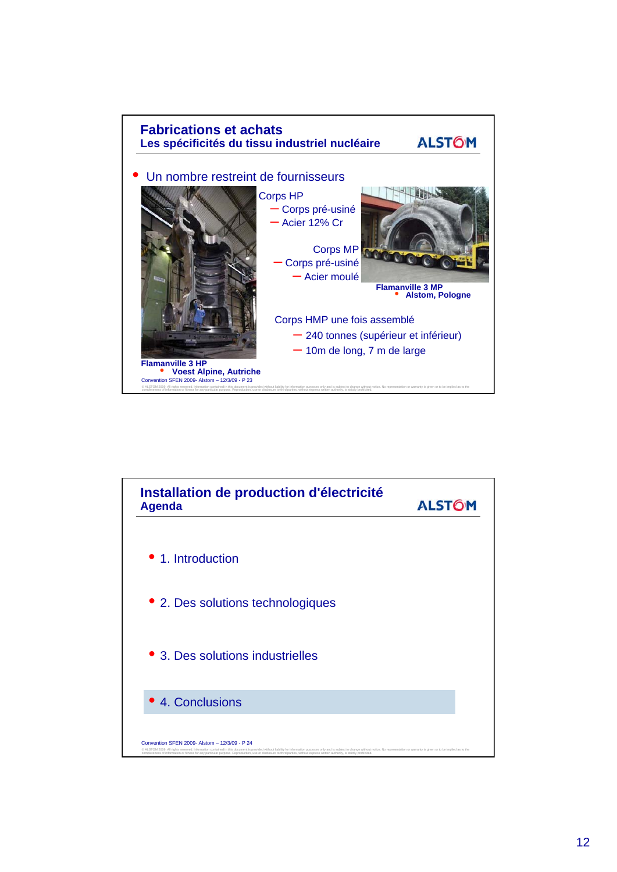

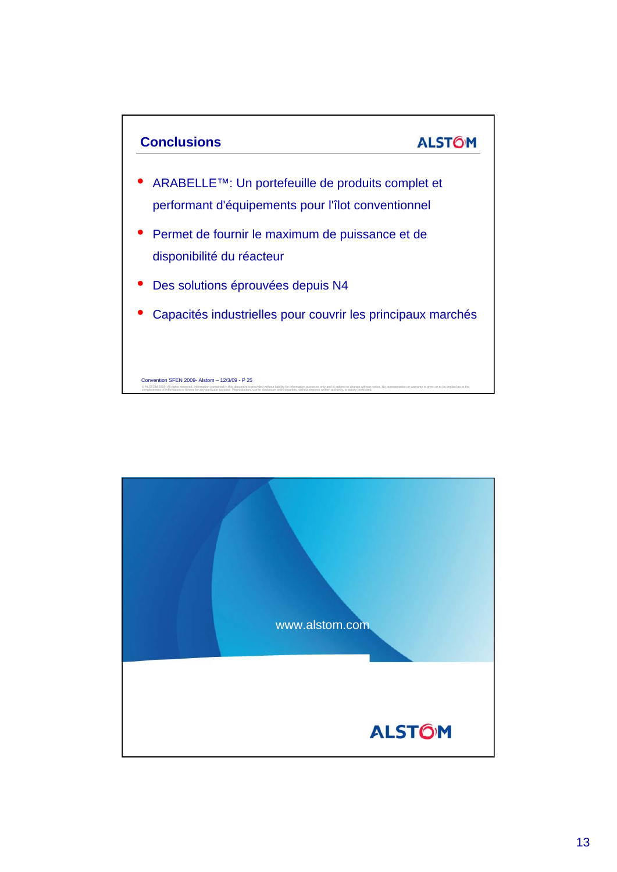